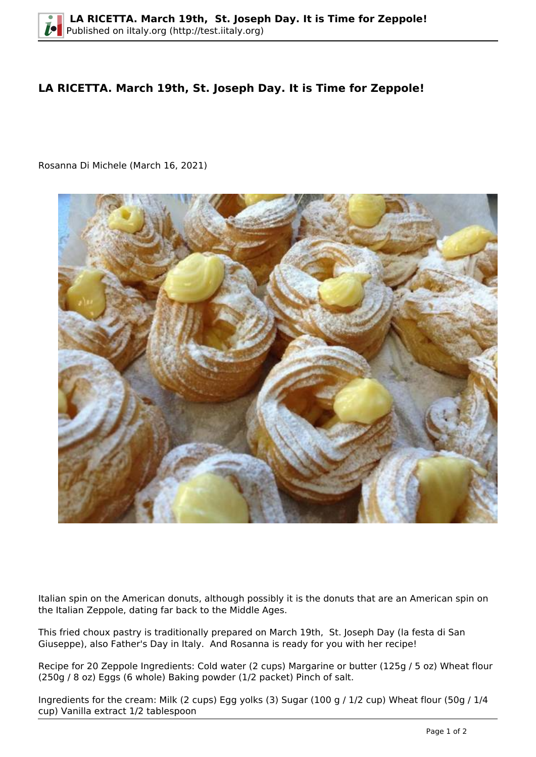## **LA RICETTA. March 19th, St. Joseph Day. It is Time for Zeppole!**

Rosanna Di Michele (March 16, 2021)



Italian spin on the American donuts, although possibly it is the donuts that are an American spin on the Italian Zeppole, dating far back to the Middle Ages.

This fried choux pastry is traditionally prepared on March 19th, St. Joseph Day (la festa di San Giuseppe), also Father's Day in Italy. And Rosanna is ready for you with her recipe!

Recipe for 20 Zeppole Ingredients: Cold water (2 cups) Margarine or butter (125g / 5 oz) Wheat flour (250g / 8 oz) Eggs (6 whole) Baking powder (1/2 packet) Pinch of salt.

Ingredients for the cream: Milk (2 cups) Egg yolks (3) Sugar (100 g / 1/2 cup) Wheat flour (50g / 1/4 cup) Vanilla extract 1/2 tablespoon